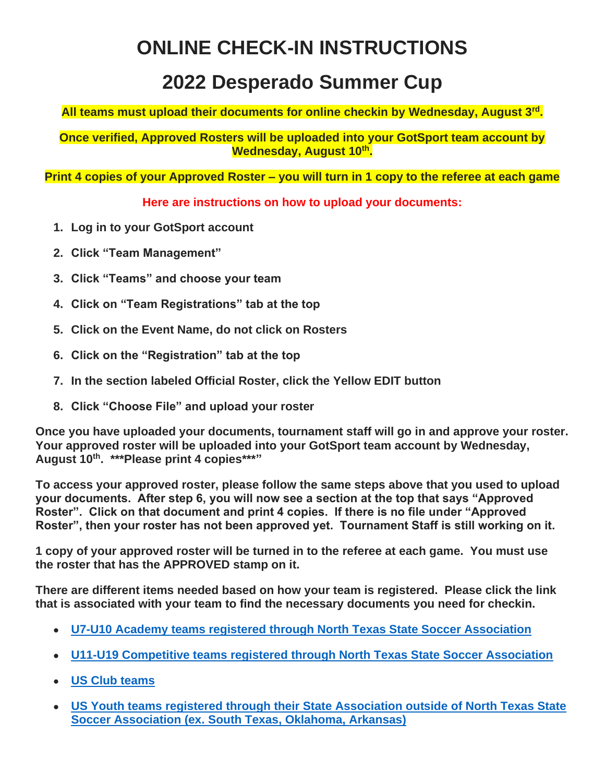## **ONLINE CHECK-IN INSTRUCTIONS**

## **2022 Desperado Summer Cup**

**All teams must upload their documents for online checkin by Wednesday, August 3rd .**

**Once verified, Approved Rosters will be uploaded into your GotSport team account by Wednesday, August 10th .**

**Print 4 copies of your Approved Roster – you will turn in 1 copy to the referee at each game**

#### **Here are instructions on how to upload your documents:**

- **1. Log in to your GotSport account**
- **2. Click "Team Management"**
- **3. Click "Teams" and choose your team**
- **4. Click on "Team Registrations" tab at the top**
- **5. Click on the Event Name, do not click on Rosters**
- **6. Click on the "Registration" tab at the top**
- **7. In the section labeled Official Roster, click the Yellow EDIT button**
- **8. Click "Choose File" and upload your roster**

**Once you have uploaded your documents, tournament staff will go in and approve your roster. Your approved roster will be uploaded into your GotSport team account by Wednesday, August 10th. \*\*\*Please print 4 copies\*\*\*"**

**To access your approved roster, please follow the same steps above that you used to upload your documents. After step 6, you will now see a section at the top that says "Approved Roster". Click on that document and print 4 copies. If there is no file under "Approved Roster", then your roster has not been approved yet. Tournament Staff is still working on it.**

**1 copy of your approved roster will be turned in to the referee at each game. You must use the roster that has the APPROVED stamp on it.**

**There are different items needed based on how your team is registered. Please click the link that is associated with your team to find the necessary documents you need for checkin.**

- **[U7-U10 Academy teams registered through North Texas State Soccer Association](https://www.smcsoccer.com/u7-u10-academy-teams-registered-through-north-texas-state-soccer-association/)**
- **[U11-U19 Competitive teams registered through North Texas State Soccer Association](https://www.smcsoccer.com/u11-u19-competitive-teams-registered-through-north-texas-state-soccer-association/)**
- **[US Club teams](https://www.smcsoccer.com/us-club-teams/)**
- **[US Youth teams registered through their State Association outside of North Texas State](https://www.smcsoccer.com/us-youth-teams-outside-of-north-texas-state-soccer-association/)  [Soccer Association \(ex. South Texas, Oklahoma, Arkansas\)](https://www.smcsoccer.com/us-youth-teams-outside-of-north-texas-state-soccer-association/)**